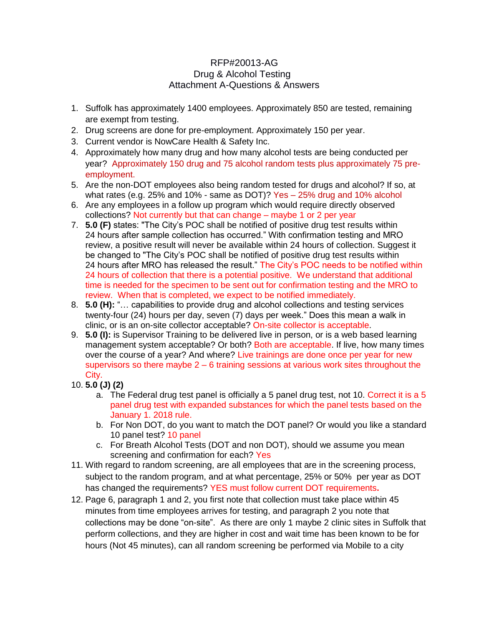## RFP#20013-AG Drug & Alcohol Testing Attachment A-Questions & Answers

- 1. Suffolk has approximately 1400 employees. Approximately 850 are tested, remaining are exempt from testing.
- 2. Drug screens are done for pre-employment. Approximately 150 per year.
- 3. Current vendor is NowCare Health & Safety Inc.
- 4. Approximately how many drug and how many alcohol tests are being conducted per year? Approximately 150 drug and 75 alcohol random tests plus approximately 75 preemployment.
- 5. Are the non-DOT employees also being random tested for drugs and alcohol? If so, at what rates (e.g. 25% and 10% - same as DOT)? Yes – 25% drug and 10% alcohol
- 6. Are any employees in a follow up program which would require directly observed collections? Not currently but that can change – maybe 1 or 2 per year
- 7. **5.0 (F)** states: "The City's POC shall be notified of positive drug test results within 24 hours after sample collection has occurred." With confirmation testing and MRO review, a positive result will never be available within 24 hours of collection. Suggest it be changed to "The City's POC shall be notified of positive drug test results within 24 hours after MRO has released the result." The City's POC needs to be notified within 24 hours of collection that there is a potential positive. We understand that additional time is needed for the specimen to be sent out for confirmation testing and the MRO to review. When that is completed, we expect to be notified immediately.
- 8. **5.0 (H):** "… capabilities to provide drug and alcohol collections and testing services twenty-four (24) hours per day, seven (7) days per week." Does this mean a walk in clinic, or is an on-site collector acceptable? On-site collector is acceptable.
- 9. **5.0 (I):** is Supervisor Training to be delivered live in person, or is a web based learning management system acceptable? Or both? Both are acceptable. If live, how many times over the course of a year? And where? Live trainings are done once per year for new supervisors so there maybe  $2 - 6$  training sessions at various work sites throughout the City.
- 10. **5.0 (J) (2)**
	- a. The Federal drug test panel is officially a 5 panel drug test, not 10. Correct it is a 5 panel drug test with expanded substances for which the panel tests based on the January 1. 2018 rule.
	- b. For Non DOT, do you want to match the DOT panel? Or would you like a standard 10 panel test? 10 panel
	- c. For Breath Alcohol Tests (DOT and non DOT), should we assume you mean screening and confirmation for each? Yes
- 11. With regard to random screening, are all employees that are in the screening process, subject to the random program, and at what percentage, 25% or 50% per year as DOT has changed the requirements? YES must follow current DOT requirements**.**
- 12. Page 6, paragraph 1 and 2, you first note that collection must take place within 45 minutes from time employees arrives for testing, and paragraph 2 you note that collections may be done "on-site". As there are only 1 maybe 2 clinic sites in Suffolk that perform collections, and they are higher in cost and wait time has been known to be for hours (Not 45 minutes), can all random screening be performed via Mobile to a city